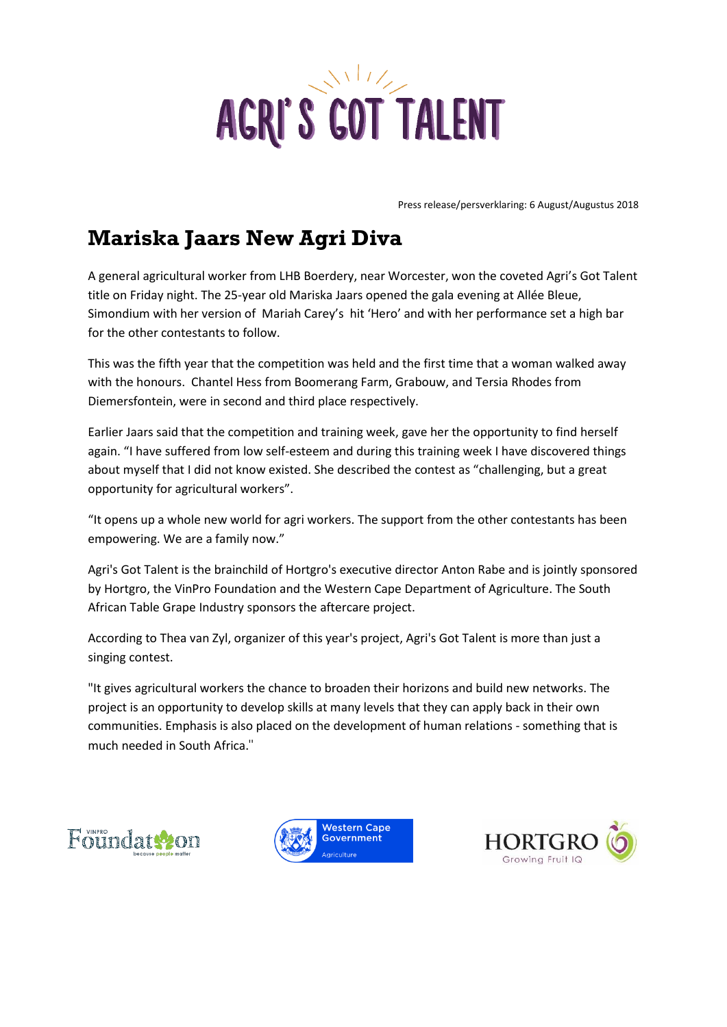

Press release/persverklaring: 6 August/Augustus 2018

## **Mariska Jaars New Agri Diva**

A general agricultural worker from LHB Boerdery, near Worcester, won the coveted Agri's Got Talent title on Friday night. The 25-year old Mariska Jaars opened the gala evening at Allée Bleue, Simondium with her version of Mariah Carey's hit 'Hero' and with her performance set a high bar for the other contestants to follow.

This was the fifth year that the competition was held and the first time that a woman walked away with the honours. Chantel Hess from Boomerang Farm, Grabouw, and Tersia Rhodes from Diemersfontein, were in second and third place respectively.

Earlier Jaars said that the competition and training week, gave her the opportunity to find herself again. "I have suffered from low self-esteem and during this training week I have discovered things about myself that I did not know existed. She described the contest as "challenging, but a great opportunity for agricultural workers".

"It opens up a whole new world for agri workers. The support from the other contestants has been empowering. We are a family now."

Agri's Got Talent is the brainchild of Hortgro's executive director Anton Rabe and is jointly sponsored by Hortgro, the VinPro Foundation and the Western Cape Department of Agriculture. The South African Table Grape Industry sponsors the aftercare project.

According to Thea van Zyl, organizer of this year's project, Agri's Got Talent is more than just a singing contest.

"It gives agricultural workers the chance to broaden their horizons and build new networks. The project is an opportunity to develop skills at many levels that they can apply back in their own communities. Emphasis is also placed on the development of human relations - something that is much needed in South Africa."





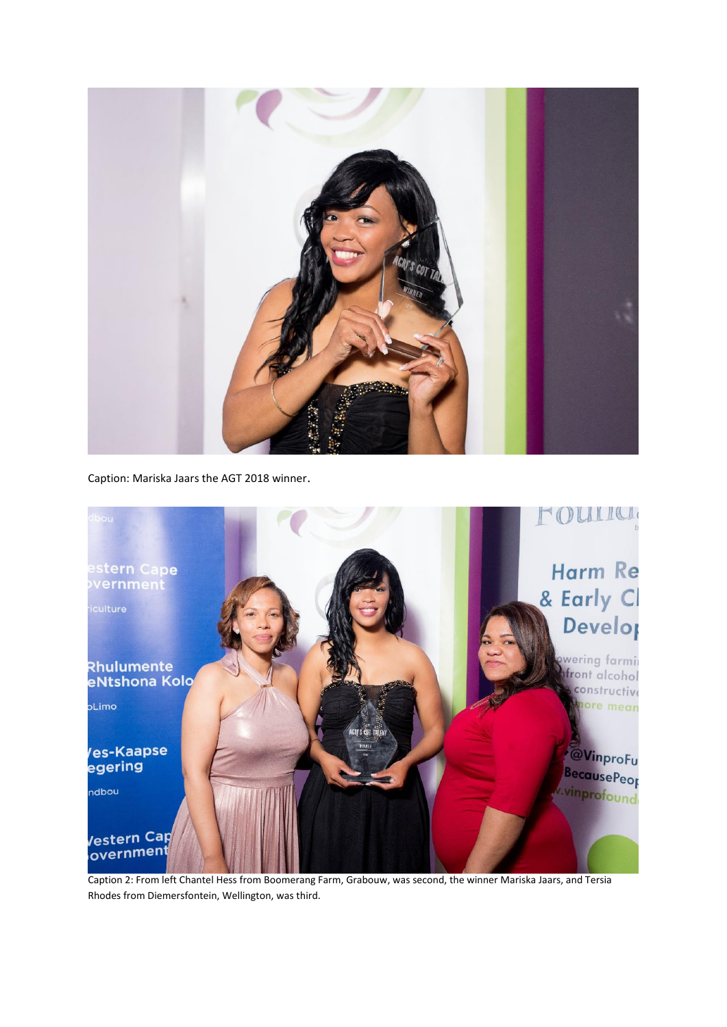

Caption: Mariska Jaars the AGT 2018 winner.



Caption 2: From left Chantel Hess from Boomerang Farm, Grabouw, was second, the winner Mariska Jaars, and Tersia Rhodes from Diemersfontein, Wellington, was third.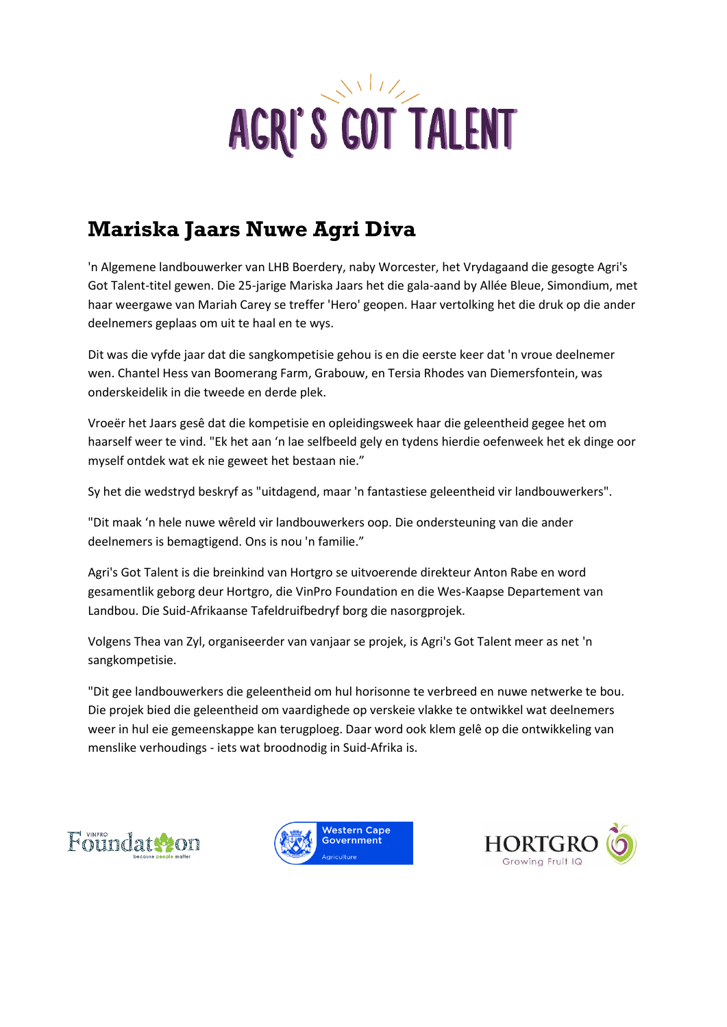

## **Mariska Jaars Nuwe Agri Diva**

'n Algemene landbouwerker van LHB Boerdery, naby Worcester, het Vrydagaand die gesogte Agri's Got Talent-titel gewen. Die 25-jarige Mariska Jaars het die gala-aand by Allée Bleue, Simondium, met haar weergawe van Mariah Carey se treffer 'Hero' geopen. Haar vertolking het die druk op die ander deelnemers geplaas om uit te haal en te wys.

Dit was die vyfde jaar dat die sangkompetisie gehou is en die eerste keer dat 'n vroue deelnemer wen. Chantel Hess van Boomerang Farm, Grabouw, en Tersia Rhodes van Diemersfontein, was onderskeidelik in die tweede en derde plek.

Vroeër het Jaars gesê dat die kompetisie en opleidingsweek haar die geleentheid gegee het om haarself weer te vind. "Ek het aan 'n lae selfbeeld gely en tydens hierdie oefenweek het ek dinge oor myself ontdek wat ek nie geweet het bestaan nie."

Sy het die wedstryd beskryf as "uitdagend, maar 'n fantastiese geleentheid vir landbouwerkers".

"Dit maak 'n hele nuwe wêreld vir landbouwerkers oop. Die ondersteuning van die ander deelnemers is bemagtigend. Ons is nou 'n familie."

Agri's Got Talent is die breinkind van Hortgro se uitvoerende direkteur Anton Rabe en word gesamentlik geborg deur Hortgro, die VinPro Foundation en die Wes-Kaapse Departement van Landbou. Die Suid-Afrikaanse Tafeldruifbedryf borg die nasorgprojek.

Volgens Thea van Zyl, organiseerder van vanjaar se projek, is Agri's Got Talent meer as net 'n sangkompetisie.

"Dit gee landbouwerkers die geleentheid om hul horisonne te verbreed en nuwe netwerke te bou. Die projek bied die geleentheid om vaardighede op verskeie vlakke te ontwikkel wat deelnemers weer in hul eie gemeenskappe kan terugploeg. Daar word ook klem gelê op die ontwikkeling van menslike verhoudings - iets wat broodnodig in Suid-Afrika is.